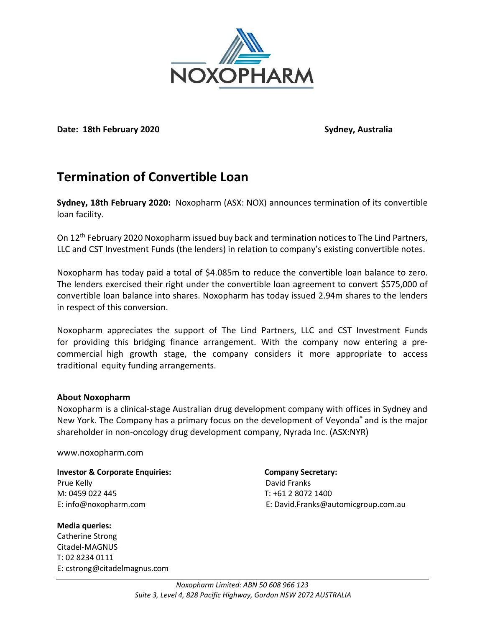

**Date: 18th February 2020 Sydney, Australia**

## **Termination of Convertible Loan**

**Sydney, 18th February 2020:** Noxopharm (ASX: NOX) announces termination of its convertible loan facility.

On 12<sup>th</sup> February 2020 Noxopharm issued buy back and termination notices to The Lind Partners, LLC and CST Investment Funds (the lenders) in relation to company's existing convertible notes.

Noxopharm has today paid a total of \$4.085m to reduce the convertible loan balance to zero. The lenders exercised their right under the convertible loan agreement to convert \$575,000 of convertible loan balance into shares. Noxopharm has today issued 2.94m shares to the lenders in respect of this conversion.

Noxopharm appreciates the support of The Lind Partners, LLC and CST Investment Funds for providing this bridging finance arrangement. With the company now entering a precommercial high growth stage, the company considers it more appropriate to access traditional equity funding arrangements.

## **About Noxopharm**

Noxopharm is a clinical-stage Australian drug development company with offices in Sydney and New York. The Company has a primary focus on the development of Veyonda<sup>®</sup> and is the major shareholder in non-oncology drug development company, Nyrada Inc. (ASX:NYR)

## www.noxopharm.com

**Investor & Corporate Enquiries:** Company Secretary: Prue Kelly **David Franks** M: 0459 022 445 T: +61 2 8072 1400

**Media queries:** Catherine Strong Citadel-MAGNUS T: 02 8234 0111 E: cstrong@citadelmagnus.com

E: info@noxopharm.com E: David.Franks@automicgroup.com.au